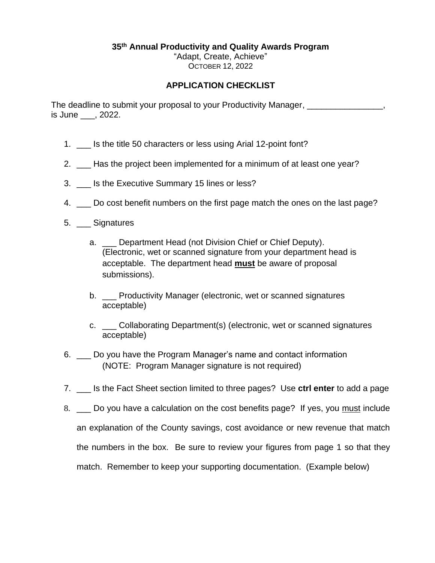**35 th Annual Productivity and Quality Awards Program**

"Adapt, Create, Achieve" OCTOBER 12, 2022

## **APPLICATION CHECKLIST**

The deadline to submit your proposal to your Productivity Manager, is June \_\_\_, 2022.

- 1. \_\_\_ Is the title 50 characters or less using Arial 12-point font?
- 2. \_\_\_ Has the project been implemented for a minimum of at least one year?
- 3. \_\_\_ Is the Executive Summary 15 lines or less?
- 4.  $\Box$  Do cost benefit numbers on the first page match the ones on the last page?
- 5. \_\_\_ Signatures
	- a. Department Head (not Division Chief or Chief Deputy). (Electronic, wet or scanned signature from your department head is acceptable. The department head **must** be aware of proposal submissions).
	- b. Productivity Manager (electronic, wet or scanned signatures acceptable)
	- c. \_\_\_ Collaborating Department(s) (electronic, wet or scanned signatures acceptable)
- 6. \_\_\_ Do you have the Program Manager's name and contact information (NOTE: Program Manager signature is not required)
- 7. \_\_\_ Is the Fact Sheet section limited to three pages? Use **ctrl enter** to add a page
- 8. \_\_\_ Do you have a calculation on the cost benefits page? If yes, you must include an explanation of the County savings, cost avoidance or new revenue that match the numbers in the box. Be sure to review your figures from page 1 so that they match. Remember to keep your supporting documentation. (Example below)